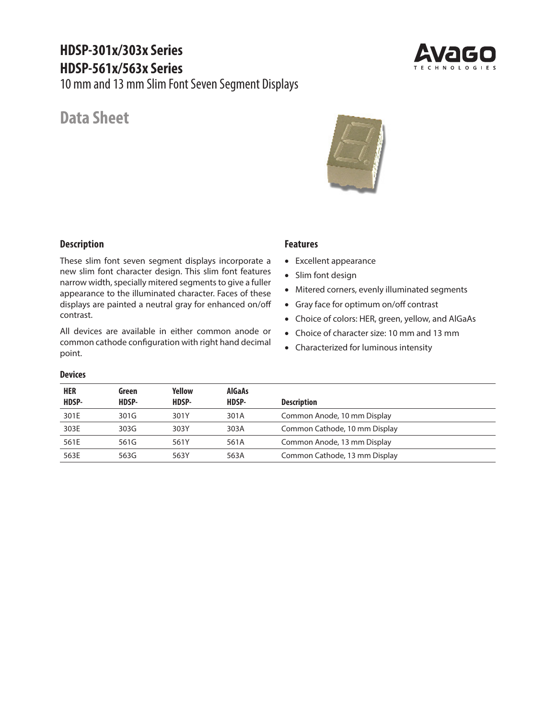# **HDSP-301x/303x Series HDSP-561x/563x Series**

10 mm and 13 mm Slim Font Seven Segment Displays

## **Data Sheet**





### **Description**

These slim font seven segment displays incorporate a new slim font character design. This slim font features narrow width, specially mitered segments to give a fuller appearance to the illuminated character. Faces of these displays are painted a neutral gray for enhanced on/off contrast.

All devices are available in either common anode or common cathode configuration with right hand decimal point.

### **Features**

- Excellent appearance
- Slim font design
- Mitered corners, evenly illuminated segments
- Gray face for optimum on/off contrast
- Choice of colors: HER, green, yellow, and AlGaAs
- Choice of character size: 10 mm and 13 mm
- Characterized for luminous intensity

#### **Devices**

| <b>HER</b><br>HDSP- | Green<br>HDSP- | Yellow<br>HDSP- | <b>AlGaAs</b><br>HDSP- | <b>Description</b>            |
|---------------------|----------------|-----------------|------------------------|-------------------------------|
| 301E                | 301G           | 301Y            | 301A                   | Common Anode, 10 mm Display   |
| 303E                | 303G           | 303Y            | 303A                   | Common Cathode, 10 mm Display |
| 561E                | 561G           | 561Y            | 561A                   | Common Anode, 13 mm Display   |
| 563E                | 563G           | 563Y            | 563A                   | Common Cathode, 13 mm Display |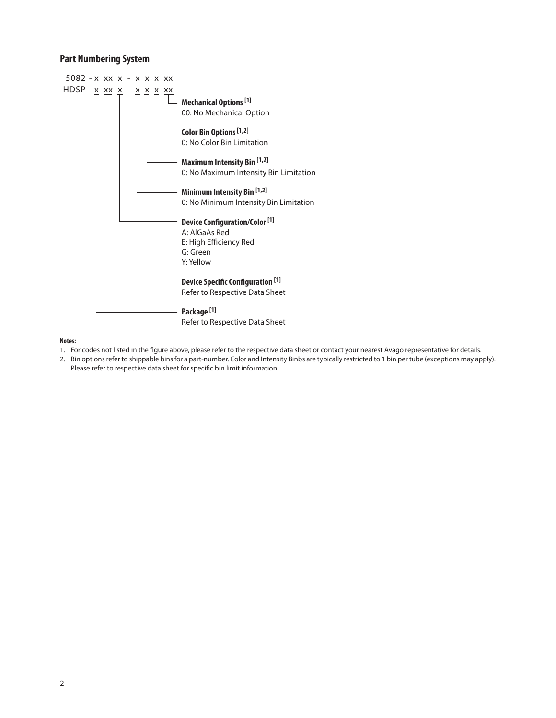### **Part Numbering System**



#### **Notes:**

- 1. For codes not listed in the figure above, please refer to the respective data sheet or contact your nearest Avago representative for details.
- 2. Bin options refer to shippable bins for a part-number. Color and Intensity Binbs are typically restricted to 1 bin per tube (exceptions may apply). Please refer to respective data sheet for specific bin limit information.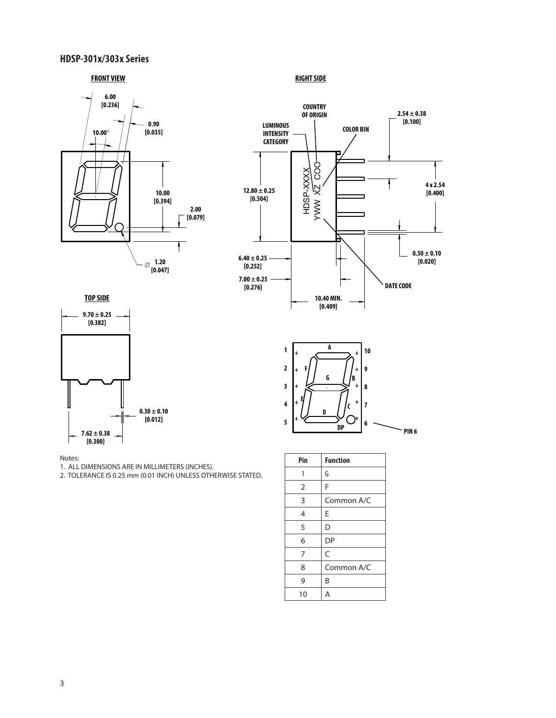### **HDSP-301x/303x Series**

#### **FRONT VIEW RIGHT SIDE**





**TOP SIDE**





Notes:

1. ALL DIMENSIONS ARE IN MILLIMETERS (INCHES).

2. TOLERANCE IS 0.25 mm (0.01 INCH) UNLESS OTHERWISE STATED.

| ͻ |                | 6<br>DP         |
|---|----------------|-----------------|
|   |                |                 |
|   | Pin            | <b>Function</b> |
|   | 1              | G               |
|   | $\overline{2}$ | F               |
|   | 3              | Common A/C      |
|   | 4              | E               |
|   | 5              | D               |
|   | 6              | <b>DP</b>       |
|   | 7              | C               |
|   | 8              | Common A/C      |
|   | 9              | B               |
|   | 10             | Α               |

**A**

**G**

**D**

**F**

**1**

+ + + + +

**2**

**3 4**

**5**

**E**

**B**

+ + + +  $\rm O^{\scriptscriptstyle +}$ 

**10**

**9 8**

**7**

**6**

**C**

**PIN 6**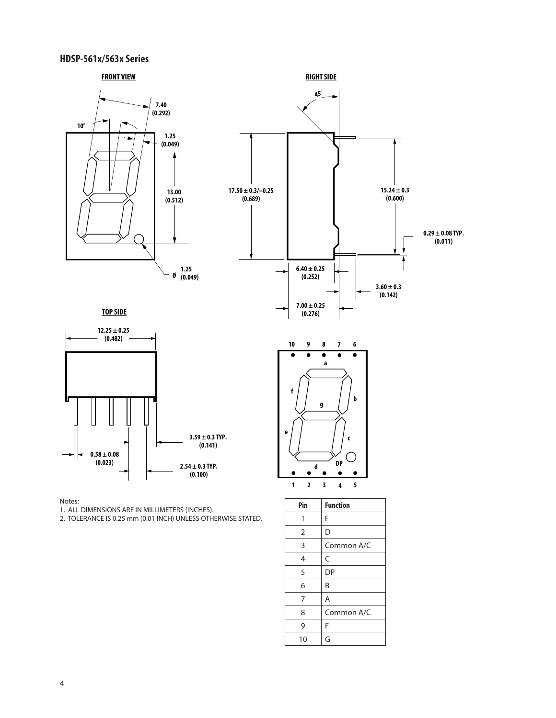### **HDSP-561x/563x Series**



3 Common A/C

8 | Common A/C

 $4 \mid C$ 5 DP  $6 \mid B$  $7$  A

 $9$  F  $10 \mid G$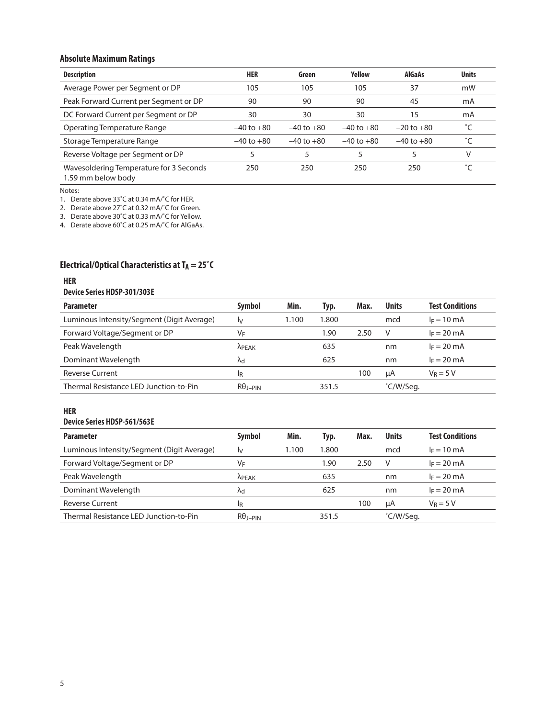### **Absolute Maximum Ratings**

| <b>Description</b>                                            | <b>HER</b>     | Green          | Yellow         | <b>AlGaAs</b>  | <b>Units</b> |
|---------------------------------------------------------------|----------------|----------------|----------------|----------------|--------------|
| Average Power per Segment or DP                               | 105            | 105            | 105            | 37             | mW           |
| Peak Forward Current per Segment or DP                        | 90             | 90             | 90             | 45             | mA           |
| DC Forward Current per Segment or DP                          | 30             | 30             | 30             | 15             | mA           |
| Operating Temperature Range                                   | $-40$ to $+80$ | $-40$ to $+80$ | $-40$ to $+80$ | $-20$ to $+80$ | °C           |
| Storage Temperature Range                                     | $-40$ to $+80$ | $-40$ to $+80$ | $-40$ to $+80$ | $-40$ to $+80$ | °C           |
| Reverse Voltage per Segment or DP                             |                |                |                |                | V            |
| Wavesoldering Temperature for 3 Seconds<br>1.59 mm below body | 250            | 250            | 250            | 250            |              |

Notes:

1. Derate above 33˚C at 0.34 mA/˚C for HER.

2. Derate above 27˚C at 0.32 mA/˚C for Green.

3. Derate above 30˚C at 0.33 mA/˚C for Yellow.

4. Derate above 60˚C at 0.25 mA/˚C for AlGaAs.

## **Electrical/Optical Characteristics at TA = 25°C**

#### **HER**

#### **Device Series HDSP-301/303E**

| <b>Parameter</b>                           | <b>Symbol</b>        | Min.  | Typ.  | Max. | <b>Units</b> | <b>Test Conditions</b> |
|--------------------------------------------|----------------------|-------|-------|------|--------------|------------------------|
| Luminous Intensity/Segment (Digit Average) | I٧                   | 1.100 | 1.800 |      | mcd          | $I_F = 10$ mA          |
| Forward Voltage/Segment or DP              | VF                   |       | 1.90  | 2.50 | V            | $I_F = 20$ mA          |
| Peak Wavelength                            | <b>APEAK</b>         |       | 635   |      | nm           | $I_F = 20$ mA          |
| Dominant Wavelength                        | Λd                   |       | 625   |      | nm           | $I_F = 20$ mA          |
| <b>Reverse Current</b>                     | 1 <sub>R</sub>       |       |       | 100  | uA           | $V_R = 5 V$            |
| Thermal Resistance LED Junction-to-Pin     | $R\theta$ $_{I-PIN}$ |       | 351.5 |      | °C/W/Seg.    |                        |

#### **HER**

#### **Device Series HDSP-561/563E**

| <b>Parameter</b>                           | <b>Symbol</b>   | Min.  | Typ.  | Max. | <b>Units</b> | <b>Test Conditions</b> |
|--------------------------------------------|-----------------|-------|-------|------|--------------|------------------------|
| Luminous Intensity/Segment (Digit Average) | I٧              | 1.100 | 1.800 |      | mcd          | $I_F = 10$ mA          |
| Forward Voltage/Segment or DP              | VF              |       | 1.90  | 2.50 | V            | $I_F = 20 \text{ mA}$  |
| Peak Wavelength                            | <b>APEAK</b>    |       | 635   |      | nm           | $I_F = 20$ mA          |
| Dominant Wavelength                        | $\mathsf{v}$    |       | 625   |      | nm           | $I_F = 20$ mA          |
| <b>Reverse Current</b>                     | ΙŖ              |       |       | 100  | uA           | $V_R = 5 V$            |
| Thermal Resistance LED Junction-to-Pin     | $R\theta$ I-PIN |       | 351.5 |      | °C/W/Seg.    |                        |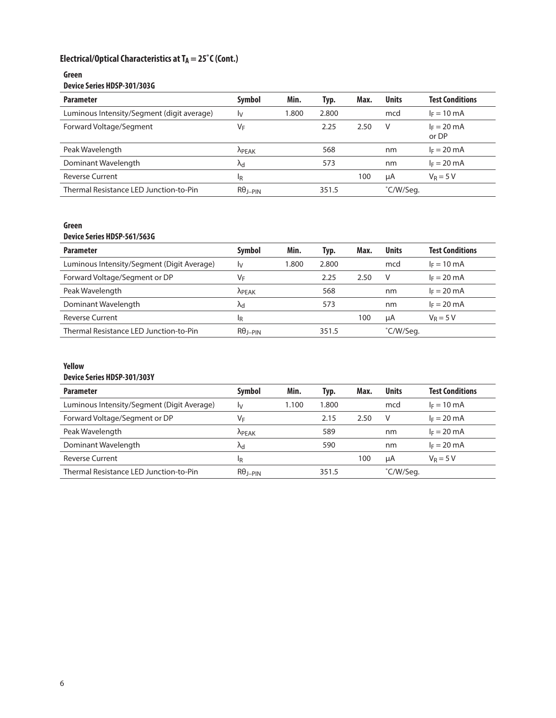## Electrical/Optical Characteristics at T<sub>A</sub> = 25<sup>°</sup>C (Cont.)

#### **Green Device Series HDSP-301/303G**

| <b>Parameter</b>                           | <b>Symbol</b>      | Min.  | Typ.  | Max. | <b>Units</b> | <b>Test Conditions</b> |
|--------------------------------------------|--------------------|-------|-------|------|--------------|------------------------|
| Luminous Intensity/Segment (digit average) | Iv                 | 1.800 | 2.800 |      | mcd          | $I_F = 10 \text{ mA}$  |
| Forward Voltage/Segment                    | VF                 |       | 2.25  | 2.50 | v            | $I_F = 20$ mA<br>or DP |
| Peak Wavelength                            | <b>APEAK</b>       |       | 568   |      | nm           | $I_F = 20$ mA          |
| Dominant Wavelength                        | $\Lambda_{\rm cl}$ |       | 573   |      | nm           | $I_F = 20 \text{ mA}$  |
| <b>Reverse Current</b>                     | ΙŖ                 |       |       | 100  | μA           | $V_R = 5 V$            |
| Thermal Resistance LED Junction-to-Pin     | $R\theta_{J-PIN}$  |       | 351.5 |      | °C/W/Seg.    |                        |

### **Green**

### **Device Series HDSP-561/563G**

| <b>Parameter</b>                           | <b>Symbol</b>     | Min.  | Typ.  | Max. | <b>Units</b> | <b>Test Conditions</b> |
|--------------------------------------------|-------------------|-------|-------|------|--------------|------------------------|
| Luminous Intensity/Segment (Digit Average) | Iv                | 1.800 | 2.800 |      | mcd          | $I_F = 10$ mA          |
| Forward Voltage/Segment or DP              | VF                |       | 2.25  | 2.50 | V            | $I_F = 20$ mA          |
| Peak Wavelength                            | <b>APEAK</b>      |       | 568   |      | nm           | $I_F = 20$ mA          |
| Dominant Wavelength                        | ۸d                |       | 573   |      | nm           | $I_F = 20$ mA          |
| <b>Reverse Current</b>                     | ΙŖ                |       |       | 100  | uA           | $V_R = 5 V$            |
| Thermal Resistance LED Junction-to-Pin     | $R\theta_{I-PIN}$ |       | 351.5 |      | °C/W/Seg.    |                        |

#### **Yellow**

#### **Device Series HDSP-301/303Y**

| <b>Parameter</b>                           | <b>Symbol</b>      | Min.  | Typ.  | Max. | <b>Units</b> | <b>Test Conditions</b> |
|--------------------------------------------|--------------------|-------|-------|------|--------------|------------------------|
| Luminous Intensity/Segment (Digit Average) | I٧                 | 1.100 | 1.800 |      | mcd          | $I_F = 10$ mA          |
| Forward Voltage/Segment or DP              | VF                 |       | 2.15  | 2.50 | V            | $I_F = 20$ mA          |
| Peak Wavelength                            | <b>APEAK</b>       |       | 589   |      | nm           | $I_F = 20 \text{ mA}$  |
| Dominant Wavelength                        | $\Lambda_{\rm cl}$ |       | 590   |      | nm           | $I_F = 20$ mA          |
| <b>Reverse Current</b>                     | 1R                 |       |       | 100  | uA           | $V_R = 5 V$            |
| Thermal Resistance LED Junction-to-Pin     | $R\theta_{J-PIN}$  |       | 351.5 |      | °C/W/Seg.    |                        |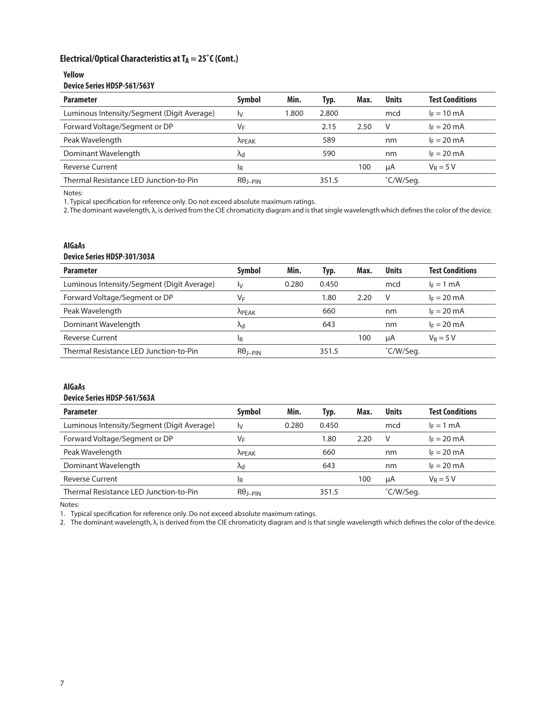### Electrical/Optical Characteristics at T<sub>A</sub> = 25°C (Cont.)

#### **Yellow Device Series HDSP-561/563Y**

| PUNIU PUNIU NIPPI PUNIPI PU                |                      |       |       |      |              |                        |  |  |  |  |  |  |
|--------------------------------------------|----------------------|-------|-------|------|--------------|------------------------|--|--|--|--|--|--|
| <b>Parameter</b>                           | Symbol               | Min.  | Typ.  | Max. | <b>Units</b> | <b>Test Conditions</b> |  |  |  |  |  |  |
| Luminous Intensity/Segment (Digit Average) | I۷                   | 1.800 | 2.800 |      | mcd          | $I_F = 10 \text{ mA}$  |  |  |  |  |  |  |
| Forward Voltage/Segment or DP              | VF                   |       | 2.15  | 2.50 | V            | $I_F = 20$ mA          |  |  |  |  |  |  |
| Peak Wavelength                            | <b>APEAK</b>         |       | 589   |      | nm           | $I_F = 20$ mA          |  |  |  |  |  |  |
| Dominant Wavelength                        | $\mathsf{v}$         |       | 590   |      | nm           | $I_F = 20 \text{ mA}$  |  |  |  |  |  |  |
| <b>Reverse Current</b>                     | 1R                   |       |       | 100  | μA           | $V_R = 5 V$            |  |  |  |  |  |  |
| Thermal Resistance LED Junction-to-Pin     | $R\theta$ $_{I-PIN}$ |       | 351.5 |      | °C/W/Seg.    |                        |  |  |  |  |  |  |

Notes:

1. Typical specification for reference only. Do not exceed absolute maximum ratings.

2. The dominant wavelength, λ, is derived from the CIE chromaticity diagram and is that single wavelength which defines the color of the device.

#### **AlGaAs**

#### **Device Series HDSP-301/303A**

| <b>Parameter</b>                           | <b>Symbol</b>            | Min.  | Typ.  | Max. | <b>Units</b> | <b>Test Conditions</b> |
|--------------------------------------------|--------------------------|-------|-------|------|--------------|------------------------|
| Luminous Intensity/Segment (Digit Average) | I٧                       | 0.280 | 0.450 |      | mcd          | $I_F = 1$ mA           |
| Forward Voltage/Segment or DP              | VF                       |       | 1.80  | 2.20 | V            | $I_F = 20$ mA          |
| Peak Wavelength                            | <b>APEAK</b>             |       | 660   |      | nm           | $I_F = 20$ mA          |
| Dominant Wavelength                        | Λd                       |       | 643   |      | nm           | $I_F = 20$ mA          |
| <b>Reverse Current</b>                     | 1 <sub>R</sub>           |       |       | 100  | uA           | $V_R = 5 V$            |
| Thermal Resistance LED Junction-to-Pin     | $R\theta_{\text{I-PIN}}$ |       | 351.5 |      | °C/W/Seg.    |                        |

### **AlGaAs**

#### **Device Series HDSP-561/563A**

| <b>Parameter</b>                           | <b>Symbol</b>      | Min.  | Typ.  | Max. | <b>Units</b> | <b>Test Conditions</b> |
|--------------------------------------------|--------------------|-------|-------|------|--------------|------------------------|
| Luminous Intensity/Segment (Digit Average) | I٧                 | 0.280 | 0.450 |      | mcd          | $I_F = 1$ mA           |
| Forward Voltage/Segment or DP              | VF                 |       | 1.80  | 2.20 | V            | $I_F = 20$ mA          |
| Peak Wavelength                            | <b>APEAK</b>       |       | 660   |      | nm           | $I_F = 20$ mA          |
| Dominant Wavelength                        | $\Lambda_{\rm cl}$ |       | 643   |      | nm           | $I_F = 20$ mA          |
| <b>Reverse Current</b>                     | 1R                 |       |       | 100  | μA           | $V_R = 5 V$            |
| Thermal Resistance LED Junction-to-Pin     | $R\theta_{J-PIN}$  |       | 351.5 |      | °C/W/Seg.    |                        |

Notes:

1. Typical specification for reference only. Do not exceed absolute maximum ratings.

2. The dominant wavelength, λ, is derived from the CIE chromaticity diagram and is that single wavelength which defines the color of the device.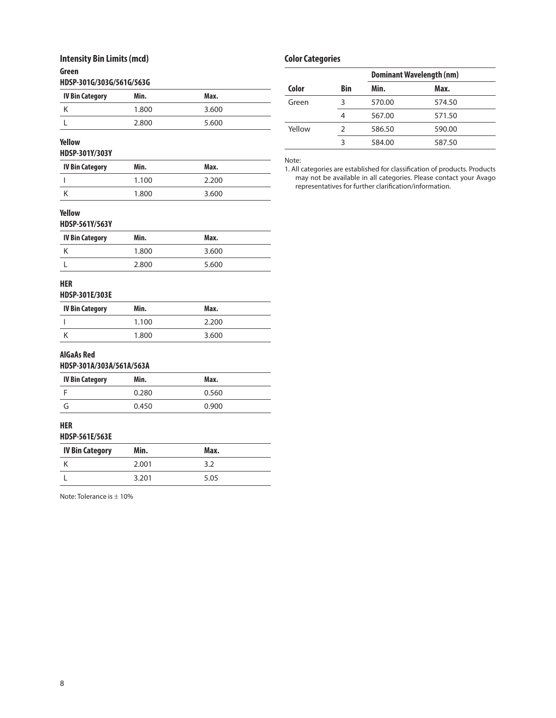### **Intensity Bin Limits (mcd)**

### **Green**

|  |  |  |  |  |  |  |  |  |  |  |  |  | HDSP-301G/303G/561G/563G |  |  |
|--|--|--|--|--|--|--|--|--|--|--|--|--|--------------------------|--|--|
|--|--|--|--|--|--|--|--|--|--|--|--|--|--------------------------|--|--|

| <b>IV Bin Category</b> | Min.  | Max.  |
|------------------------|-------|-------|
|                        | 1.800 | 3.600 |
|                        | 2.800 | 5.600 |

### **Yellow**

**HDSP-301Y/303Y** 

| <b>IV Bin Category</b> | Min.  | Max.  |
|------------------------|-------|-------|
|                        | 1.100 | 2.200 |
|                        | 1.800 | 3.600 |

## **Color Categories**

|        |               | <b>Dominant Wavelength (nm)</b> |        |  |
|--------|---------------|---------------------------------|--------|--|
| Color  | <b>Bin</b>    | Min.                            | Max.   |  |
| Green  | 3             | 570.00                          | 574.50 |  |
|        | 4             | 567.00                          | 571.50 |  |
| Yellow | $\mathcal{P}$ | 586.50                          | 590.00 |  |
|        | ξ             | 584.00                          | 587.50 |  |

#### Note:

1. All categories are established for classification of products. Products may not be available in all categories. Please contact your Avago representatives for further clarification/information.

#### **Yellow**

**HDSP-561Y/563Y** 

| <b>IV Bin Category</b> | Min.  | Max.  |
|------------------------|-------|-------|
|                        | 1.800 | 3.600 |
|                        | 2.800 | 5.600 |

### **HER**

#### **HDSP-301E/303E**

| IV Bin Category | Min.  | Max.  |
|-----------------|-------|-------|
|                 | 1.100 | 2.200 |
|                 | 1.800 | 3.600 |

#### **AlGaAs Red**

#### **HDSP-301A/303A/561A/563A**

| <b>IV Bin Category</b> | Min.  | Max.  |
|------------------------|-------|-------|
|                        | 0.280 | 0.560 |
|                        | 0.450 | 0.900 |

#### **HER HDSP-561E/563E**

| <b>IV Bin Category</b> | Min.  | Max. |  |
|------------------------|-------|------|--|
|                        | 2.001 | 3.2  |  |
|                        | 3.201 | 5.05 |  |

Note: Tolerance is ± 10%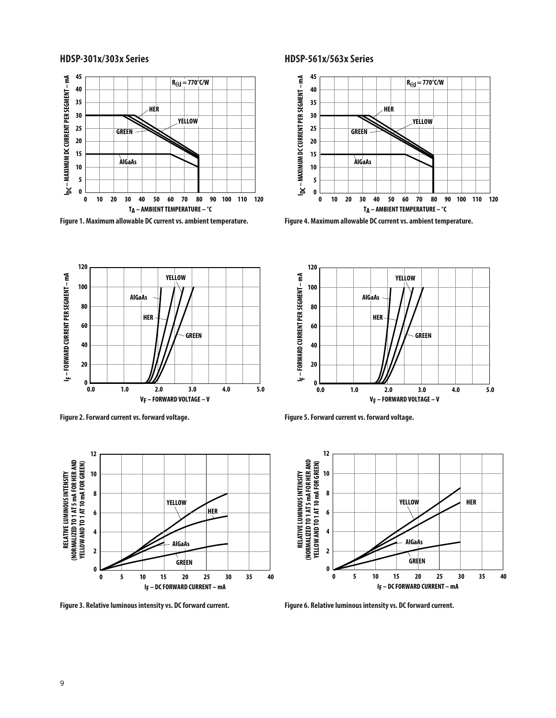### **HDSP-301x/303x Series HDSP-561x/563x Series**



**Figure 1. Maximum allowable DC current vs. ambient temperature.**

**HER**

**AlGaAs**

**2.0**











**Figure 3. Relative luminous intensity vs. DC forward current.**

**Figure 5. Forward current vs. forward voltage.**



**3.0 5.0**

**Figure 6. Relative luminous intensity vs. DC forward current.**

**I**<sub>F</sub> - FORWARD CURRENT PER SEGMENT - mA **F – FORWARD CURRENT PER SEGMENT – mA** **120**

**100**

**60**

**40**

**20**

**80**

**0.0 0**